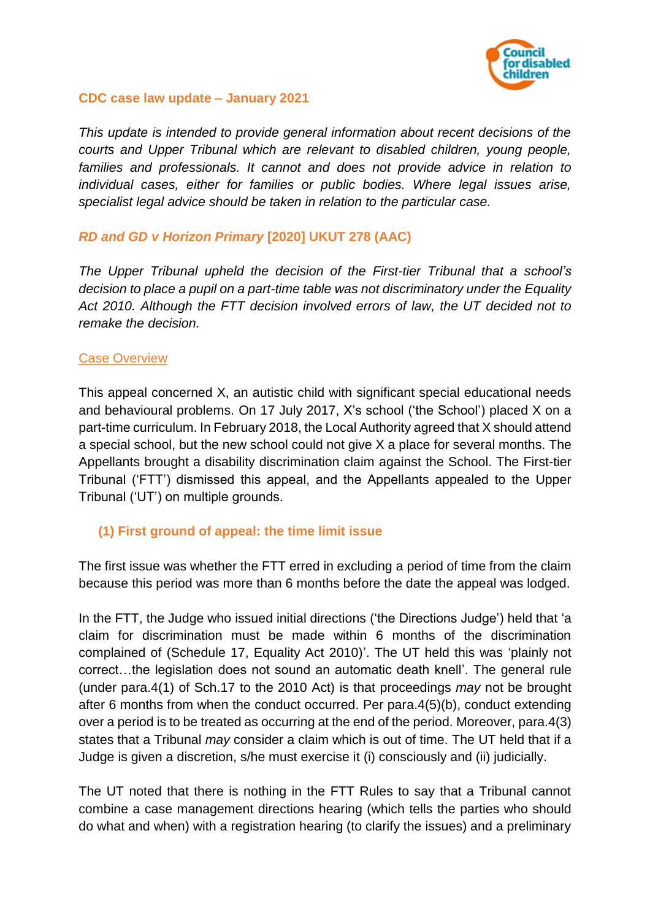

### **CDC case law update – January 2021**

*This update is intended to provide general information about recent decisions of the courts and Upper Tribunal which are relevant to disabled children, young people, families and professionals. It cannot and does not provide advice in relation to individual cases, either for families or public bodies. Where legal issues arise, specialist legal advice should be taken in relation to the particular case.*

### *RD and GD v Horizon Primary* **[2020] UKUT 278 (AAC)**

*The Upper Tribunal upheld the decision of the First-tier Tribunal that a school's decision to place a pupil on a part-time table was not discriminatory under the Equality Act 2010. Although the FTT decision involved errors of law, the UT decided not to remake the decision.*

### Case Overview

This appeal concerned X, an autistic child with significant special educational needs and behavioural problems. On 17 July 2017, X's school ('the School') placed X on a part-time curriculum. In February 2018, the Local Authority agreed that X should attend a special school, but the new school could not give X a place for several months. The Appellants brought a disability discrimination claim against the School. The First-tier Tribunal ('FTT') dismissed this appeal, and the Appellants appealed to the Upper Tribunal ('UT') on multiple grounds.

## **(1) First ground of appeal: the time limit issue**

The first issue was whether the FTT erred in excluding a period of time from the claim because this period was more than 6 months before the date the appeal was lodged.

In the FTT, the Judge who issued initial directions ('the Directions Judge') held that 'a claim for discrimination must be made within 6 months of the discrimination complained of (Schedule 17, Equality Act 2010)'. The UT held this was 'plainly not correct…the legislation does not sound an automatic death knell'. The general rule (under para.4(1) of Sch.17 to the 2010 Act) is that proceedings *may* not be brought after 6 months from when the conduct occurred. Per para.4(5)(b), conduct extending over a period is to be treated as occurring at the end of the period. Moreover, para.4(3) states that a Tribunal *may* consider a claim which is out of time. The UT held that if a Judge is given a discretion, s/he must exercise it (i) consciously and (ii) judicially.

The UT noted that there is nothing in the FTT Rules to say that a Tribunal cannot combine a case management directions hearing (which tells the parties who should do what and when) with a registration hearing (to clarify the issues) and a preliminary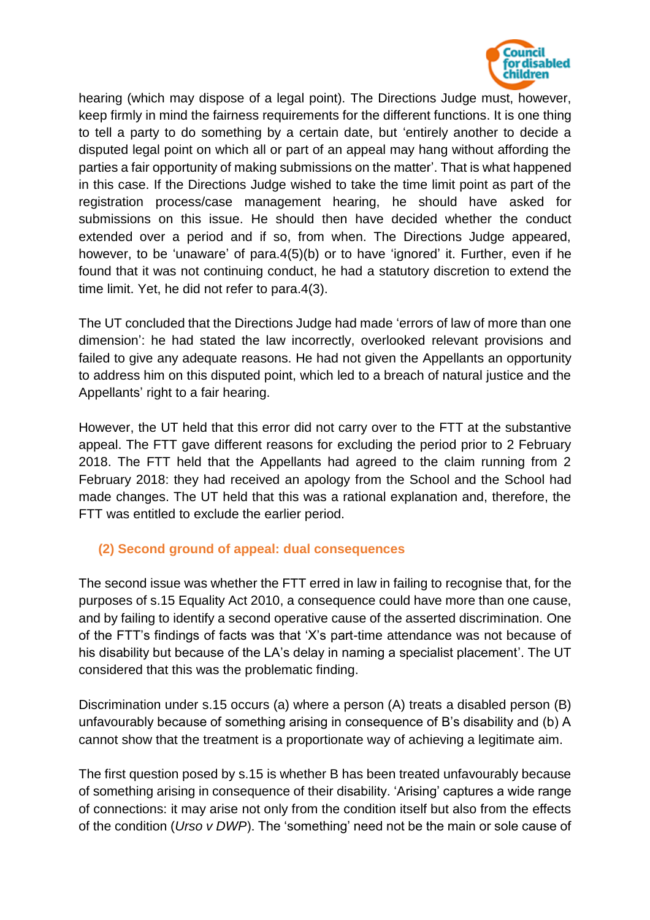

hearing (which may dispose of a legal point). The Directions Judge must, however, keep firmly in mind the fairness requirements for the different functions. It is one thing to tell a party to do something by a certain date, but 'entirely another to decide a disputed legal point on which all or part of an appeal may hang without affording the parties a fair opportunity of making submissions on the matter'. That is what happened in this case. If the Directions Judge wished to take the time limit point as part of the registration process/case management hearing, he should have asked for submissions on this issue. He should then have decided whether the conduct extended over a period and if so, from when. The Directions Judge appeared, however, to be 'unaware' of para.4(5)(b) or to have 'ignored' it. Further, even if he found that it was not continuing conduct, he had a statutory discretion to extend the time limit. Yet, he did not refer to para.4(3).

The UT concluded that the Directions Judge had made 'errors of law of more than one dimension': he had stated the law incorrectly, overlooked relevant provisions and failed to give any adequate reasons. He had not given the Appellants an opportunity to address him on this disputed point, which led to a breach of natural justice and the Appellants' right to a fair hearing.

However, the UT held that this error did not carry over to the FTT at the substantive appeal. The FTT gave different reasons for excluding the period prior to 2 February 2018. The FTT held that the Appellants had agreed to the claim running from 2 February 2018: they had received an apology from the School and the School had made changes. The UT held that this was a rational explanation and, therefore, the FTT was entitled to exclude the earlier period.

# **(2) Second ground of appeal: dual consequences**

The second issue was whether the FTT erred in law in failing to recognise that, for the purposes of s.15 Equality Act 2010, a consequence could have more than one cause, and by failing to identify a second operative cause of the asserted discrimination. One of the FTT's findings of facts was that 'X's part-time attendance was not because of his disability but because of the LA's delay in naming a specialist placement'. The UT considered that this was the problematic finding.

Discrimination under s.15 occurs (a) where a person (A) treats a disabled person (B) unfavourably because of something arising in consequence of B's disability and (b) A cannot show that the treatment is a proportionate way of achieving a legitimate aim.

The first question posed by s.15 is whether B has been treated unfavourably because of something arising in consequence of their disability. 'Arising' captures a wide range of connections: it may arise not only from the condition itself but also from the effects of the condition (*Urso v DWP*). The 'something' need not be the main or sole cause of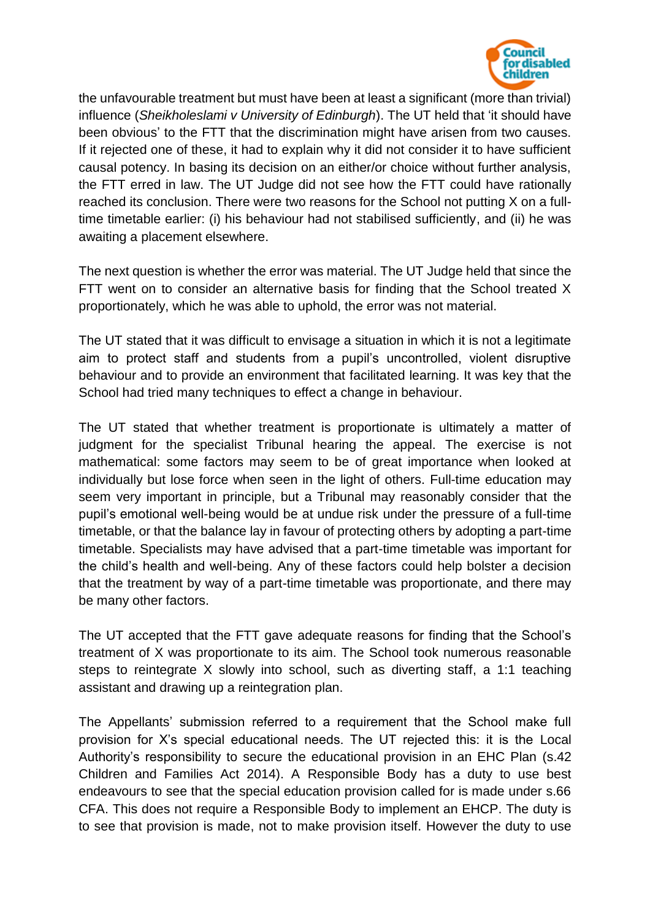

the unfavourable treatment but must have been at least a significant (more than trivial) influence (*Sheikholeslami v University of Edinburgh*). The UT held that 'it should have been obvious' to the FTT that the discrimination might have arisen from two causes. If it rejected one of these, it had to explain why it did not consider it to have sufficient causal potency. In basing its decision on an either/or choice without further analysis, the FTT erred in law. The UT Judge did not see how the FTT could have rationally reached its conclusion. There were two reasons for the School not putting X on a fulltime timetable earlier: (i) his behaviour had not stabilised sufficiently, and (ii) he was awaiting a placement elsewhere.

The next question is whether the error was material. The UT Judge held that since the FTT went on to consider an alternative basis for finding that the School treated X proportionately, which he was able to uphold, the error was not material.

The UT stated that it was difficult to envisage a situation in which it is not a legitimate aim to protect staff and students from a pupil's uncontrolled, violent disruptive behaviour and to provide an environment that facilitated learning. It was key that the School had tried many techniques to effect a change in behaviour.

The UT stated that whether treatment is proportionate is ultimately a matter of judgment for the specialist Tribunal hearing the appeal. The exercise is not mathematical: some factors may seem to be of great importance when looked at individually but lose force when seen in the light of others. Full-time education may seem very important in principle, but a Tribunal may reasonably consider that the pupil's emotional well-being would be at undue risk under the pressure of a full-time timetable, or that the balance lay in favour of protecting others by adopting a part-time timetable. Specialists may have advised that a part-time timetable was important for the child's health and well-being. Any of these factors could help bolster a decision that the treatment by way of a part-time timetable was proportionate, and there may be many other factors.

The UT accepted that the FTT gave adequate reasons for finding that the School's treatment of X was proportionate to its aim. The School took numerous reasonable steps to reintegrate X slowly into school, such as diverting staff, a 1:1 teaching assistant and drawing up a reintegration plan.

The Appellants' submission referred to a requirement that the School make full provision for X's special educational needs. The UT rejected this: it is the Local Authority's responsibility to secure the educational provision in an EHC Plan (s.42 Children and Families Act 2014). A Responsible Body has a duty to use best endeavours to see that the special education provision called for is made under s.66 CFA. This does not require a Responsible Body to implement an EHCP. The duty is to see that provision is made, not to make provision itself. However the duty to use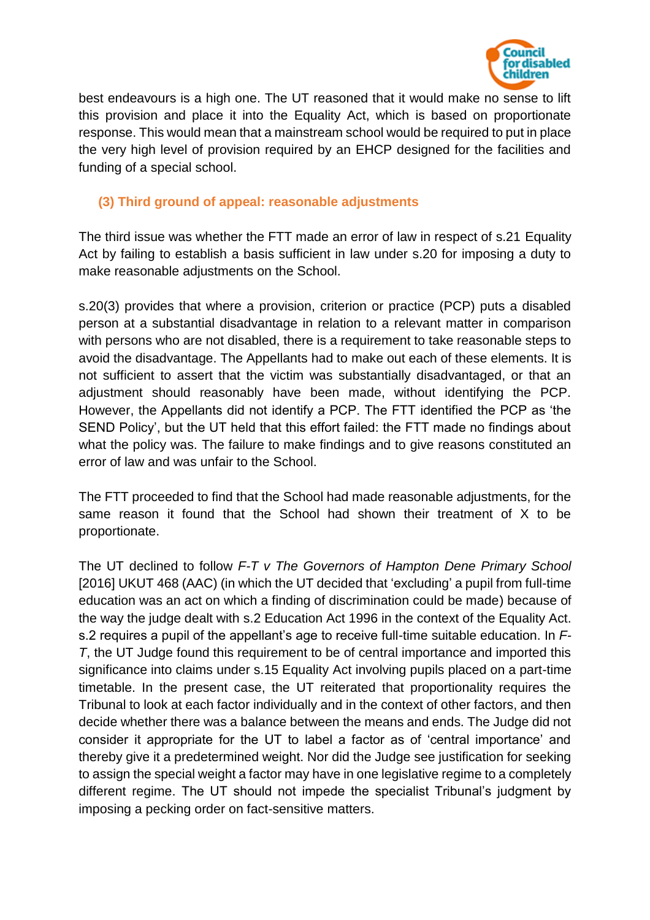

best endeavours is a high one. The UT reasoned that it would make no sense to lift this provision and place it into the Equality Act, which is based on proportionate response. This would mean that a mainstream school would be required to put in place the very high level of provision required by an EHCP designed for the facilities and funding of a special school.

## **(3) Third ground of appeal: reasonable adjustments**

The third issue was whether the FTT made an error of law in respect of s.21 Equality Act by failing to establish a basis sufficient in law under s.20 for imposing a duty to make reasonable adjustments on the School.

s.20(3) provides that where a provision, criterion or practice (PCP) puts a disabled person at a substantial disadvantage in relation to a relevant matter in comparison with persons who are not disabled, there is a requirement to take reasonable steps to avoid the disadvantage. The Appellants had to make out each of these elements. It is not sufficient to assert that the victim was substantially disadvantaged, or that an adjustment should reasonably have been made, without identifying the PCP. However, the Appellants did not identify a PCP. The FTT identified the PCP as 'the SEND Policy', but the UT held that this effort failed: the FTT made no findings about what the policy was. The failure to make findings and to give reasons constituted an error of law and was unfair to the School.

The FTT proceeded to find that the School had made reasonable adjustments, for the same reason it found that the School had shown their treatment of X to be proportionate.

The UT declined to follow *F-T v The Governors of Hampton Dene Primary School* [2016] UKUT 468 (AAC) (in which the UT decided that 'excluding' a pupil from full-time education was an act on which a finding of discrimination could be made) because of the way the judge dealt with s.2 Education Act 1996 in the context of the Equality Act. s.2 requires a pupil of the appellant's age to receive full-time suitable education. In *F-T*, the UT Judge found this requirement to be of central importance and imported this significance into claims under s.15 Equality Act involving pupils placed on a part-time timetable. In the present case, the UT reiterated that proportionality requires the Tribunal to look at each factor individually and in the context of other factors, and then decide whether there was a balance between the means and ends. The Judge did not consider it appropriate for the UT to label a factor as of 'central importance' and thereby give it a predetermined weight. Nor did the Judge see justification for seeking to assign the special weight a factor may have in one legislative regime to a completely different regime. The UT should not impede the specialist Tribunal's judgment by imposing a pecking order on fact-sensitive matters.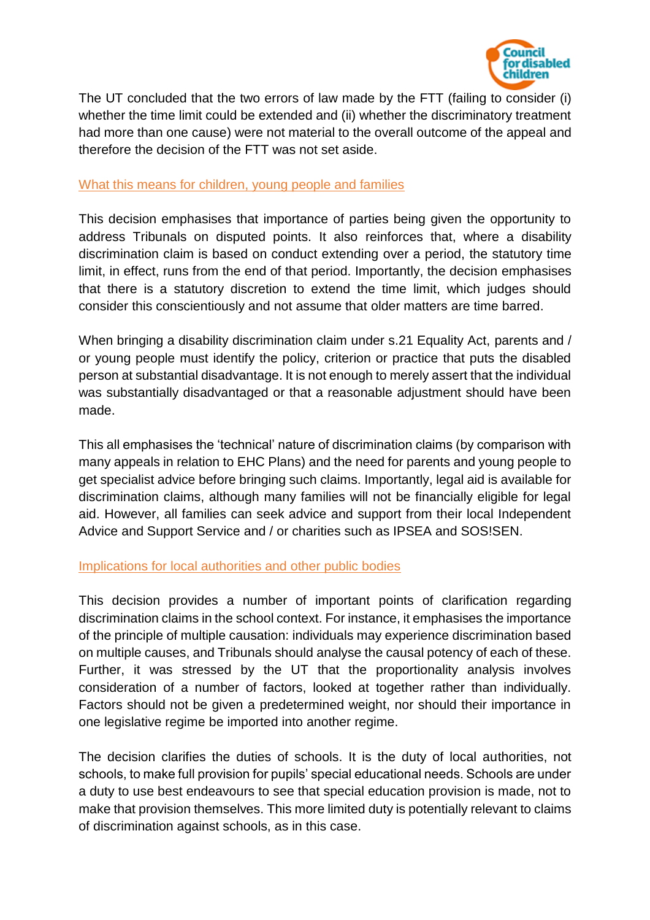

The UT concluded that the two errors of law made by the FTT (failing to consider (i) whether the time limit could be extended and (ii) whether the discriminatory treatment had more than one cause) were not material to the overall outcome of the appeal and therefore the decision of the FTT was not set aside.

### What this means for children, young people and families

This decision emphasises that importance of parties being given the opportunity to address Tribunals on disputed points. It also reinforces that, where a disability discrimination claim is based on conduct extending over a period, the statutory time limit, in effect, runs from the end of that period. Importantly, the decision emphasises that there is a statutory discretion to extend the time limit, which judges should consider this conscientiously and not assume that older matters are time barred.

When bringing a disability discrimination claim under s.21 Equality Act, parents and / or young people must identify the policy, criterion or practice that puts the disabled person at substantial disadvantage. It is not enough to merely assert that the individual was substantially disadvantaged or that a reasonable adjustment should have been made.

This all emphasises the 'technical' nature of discrimination claims (by comparison with many appeals in relation to EHC Plans) and the need for parents and young people to get specialist advice before bringing such claims. Importantly, legal aid is available for discrimination claims, although many families will not be financially eligible for legal aid. However, all families can seek advice and support from their local Independent Advice and Support Service and / or charities such as IPSEA and SOS!SEN.

### Implications for local authorities and other public bodies

This decision provides a number of important points of clarification regarding discrimination claims in the school context. For instance, it emphasises the importance of the principle of multiple causation: individuals may experience discrimination based on multiple causes, and Tribunals should analyse the causal potency of each of these. Further, it was stressed by the UT that the proportionality analysis involves consideration of a number of factors, looked at together rather than individually. Factors should not be given a predetermined weight, nor should their importance in one legislative regime be imported into another regime.

The decision clarifies the duties of schools. It is the duty of local authorities, not schools, to make full provision for pupils' special educational needs. Schools are under a duty to use best endeavours to see that special education provision is made, not to make that provision themselves. This more limited duty is potentially relevant to claims of discrimination against schools, as in this case.